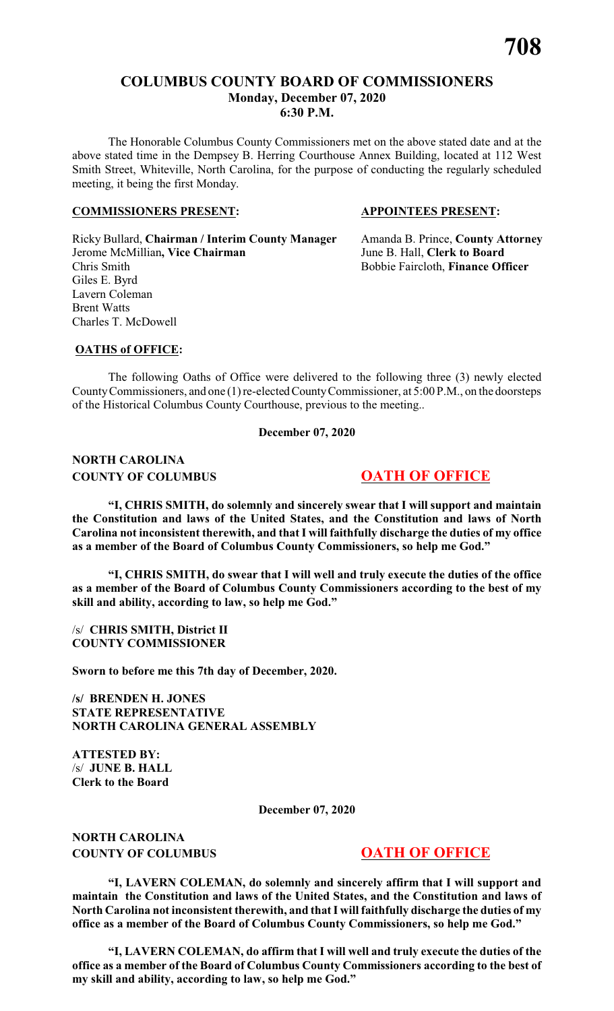# **COLUMBUS COUNTY BOARD OF COMMISSIONERS Monday, December 07, 2020 6:30 P.M.**

The Honorable Columbus County Commissioners met on the above stated date and at the above stated time in the Dempsey B. Herring Courthouse Annex Building, located at 112 West Smith Street, Whiteville, North Carolina, for the purpose of conducting the regularly scheduled meeting, it being the first Monday.

#### **COMMISSIONERS PRESENT: APPOINTEES PRESENT:**

Ricky Bullard, **Chairman / Interim County Manager** Amanda B. Prince, **County Attorney** Jerome McMillian**, Vice Chairman** June B. Hall, **Clerk to Board** Chris Smith Bobbie Faircloth, **Finance Officer** Giles E. Byrd Lavern Coleman Brent Watts Charles T. McDowell

#### **OATHS of OFFICE:**

The following Oaths of Office were delivered to the following three (3) newly elected County Commissioners, and one (1) re-elected County Commissioner, at 5:00 P.M., on the doorsteps of the Historical Columbus County Courthouse, previous to the meeting..

**December 07, 2020**

# **NORTH CAROLINA COUNTY OF COLUMBUS 6 000 OATH OF OFFICE**

**"I, CHRIS SMITH, do solemnly and sincerely swear that I will support and maintain the Constitution and laws of the United States, and the Constitution and laws of North Carolina not inconsistent therewith, and that I will faithfully discharge the duties of my office as a member of the Board of Columbus County Commissioners, so help me God."**

**"I, CHRIS SMITH, do swear that I will well and truly execute the duties of the office as a member of the Board of Columbus County Commissioners according to the best of my skill and ability, according to law, so help me God."**

/s/ **CHRIS SMITH, District II COUNTY COMMISSIONER**

**Sworn to before me this 7th day of December, 2020.**

**/s/ BRENDEN H. JONES STATE REPRESENTATIVE NORTH CAROLINA GENERAL ASSEMBLY**

**ATTESTED BY:** /s/ **JUNE B. HALL Clerk to the Board**

**December 07, 2020**

**NORTH CAROLINA COUNTY OF COLUMBUS OATH OF OFFICE** 

**"I, LAVERN COLEMAN, do solemnly and sincerely affirm that I will support and maintain the Constitution and laws of the United States, and the Constitution and laws of North Carolina not inconsistent therewith, and that I will faithfully discharge the duties of my office as a member of the Board of Columbus County Commissioners, so help me God."**

**"I, LAVERN COLEMAN, do affirm that I will well and truly execute the duties of the office as a member of the Board of Columbus County Commissioners according to the best of my skill and ability, according to law, so help me God."**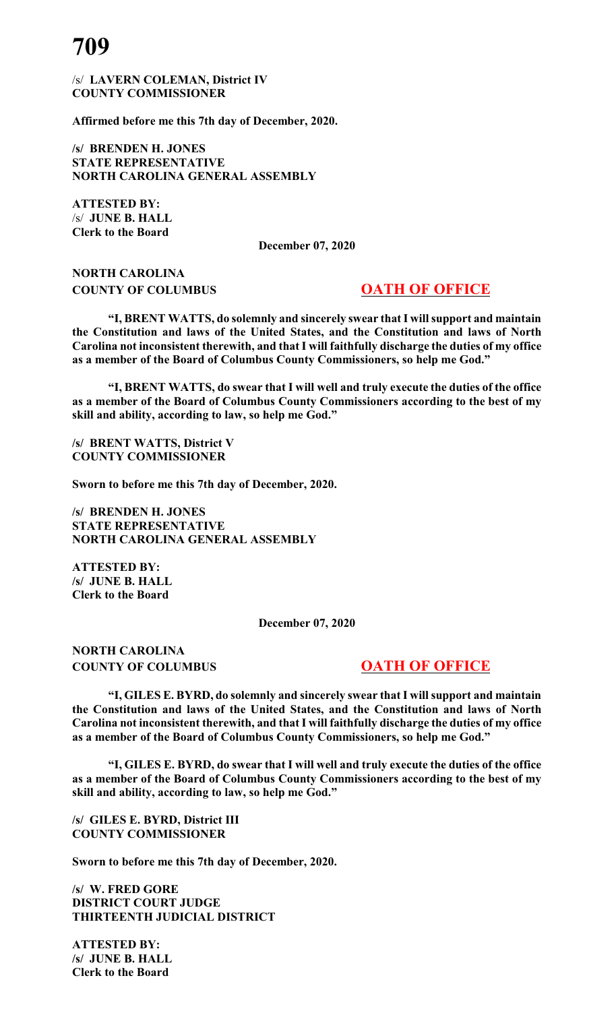/s/ **LAVERN COLEMAN, District IV COUNTY COMMISSIONER**

**Affirmed before me this 7th day of December, 2020.**

**/s/ BRENDEN H. JONES STATE REPRESENTATIVE NORTH CAROLINA GENERAL ASSEMBLY**

**ATTESTED BY:** /s/ **JUNE B. HALL Clerk to the Board**

**December 07, 2020**

# **NORTH CAROLINA COUNTY OF COLUMBUS 6 000 OATH OF OFFICE**

**"I, BRENT WATTS, do solemnly and sincerely swear that I will support and maintain the Constitution and laws of the United States, and the Constitution and laws of North Carolina not inconsistent therewith, and that I will faithfully discharge the duties of my office as a member of the Board of Columbus County Commissioners, so help me God."**

**"I, BRENT WATTS, do swear that I will well and truly execute the duties of the office as a member of the Board of Columbus County Commissioners according to the best of my skill and ability, according to law, so help me God."**

**/s/ BRENT WATTS, District V COUNTY COMMISSIONER**

**Sworn to before me this 7th day of December, 2020.**

**/s/ BRENDEN H. JONES STATE REPRESENTATIVE NORTH CAROLINA GENERAL ASSEMBLY**

**ATTESTED BY: /s/ JUNE B. HALL Clerk to the Board**

**December 07, 2020**

**NORTH CAROLINA COUNTY OF COLUMBUS 6 000 OATH OF OFFICE** 

**"I, GILES E. BYRD, do solemnly and sincerely swear that I will support and maintain the Constitution and laws of the United States, and the Constitution and laws of North Carolina not inconsistent therewith, and that I will faithfully discharge the duties of my office as a member of the Board of Columbus County Commissioners, so help me God."**

**"I, GILES E. BYRD, do swear that I will well and truly execute the duties of the office as a member of the Board of Columbus County Commissioners according to the best of my skill and ability, according to law, so help me God."**

**/s/ GILES E. BYRD, District III COUNTY COMMISSIONER**

**Sworn to before me this 7th day of December, 2020.**

**/s/ W. FRED GORE DISTRICT COURT JUDGE THIRTEENTH JUDICIAL DISTRICT**

**ATTESTED BY: /s/ JUNE B. HALL Clerk to the Board**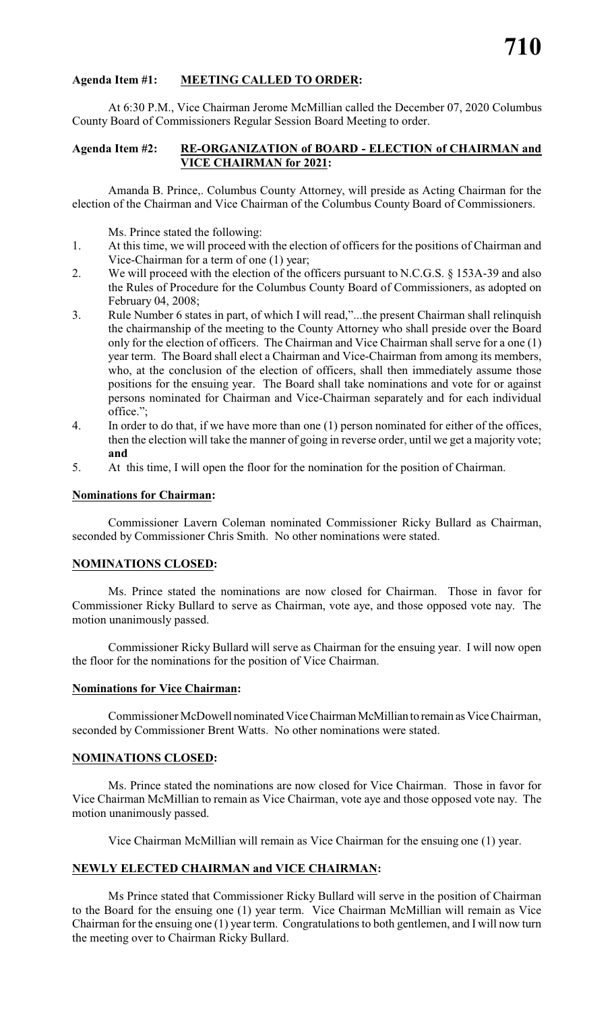# **Agenda Item #1: MEETING CALLED TO ORDER:**

At 6:30 P.M., Vice Chairman Jerome McMillian called the December 07, 2020 Columbus County Board of Commissioners Regular Session Board Meeting to order.

#### **Agenda Item #2: RE-ORGANIZATION of BOARD - ELECTION of CHAIRMAN and VICE CHAIRMAN for 2021:**

Amanda B. Prince,. Columbus County Attorney, will preside as Acting Chairman for the election of the Chairman and Vice Chairman of the Columbus County Board of Commissioners.

Ms. Prince stated the following:

- 1. At this time, we will proceed with the election of officers for the positions of Chairman and Vice-Chairman for a term of one (1) year;
- 2. We will proceed with the election of the officers pursuant to N.C.G.S. § 153A-39 and also the Rules of Procedure for the Columbus County Board of Commissioners, as adopted on February 04, 2008;
- 3. Rule Number 6 states in part, of which I will read,"...the present Chairman shall relinquish the chairmanship of the meeting to the County Attorney who shall preside over the Board only for the election of officers. The Chairman and Vice Chairman shall serve for a one (1) year term. The Board shall elect a Chairman and Vice-Chairman from among its members, who, at the conclusion of the election of officers, shall then immediately assume those positions for the ensuing year. The Board shall take nominations and vote for or against persons nominated for Chairman and Vice-Chairman separately and for each individual office.";
- 4. In order to do that, if we have more than one (1) person nominated for either of the offices, then the election will take the manner of going in reverse order, until we get a majority vote; **and**
- 5. At this time, I will open the floor for the nomination for the position of Chairman.

#### **Nominations for Chairman:**

Commissioner Lavern Coleman nominated Commissioner Ricky Bullard as Chairman, seconded by Commissioner Chris Smith. No other nominations were stated.

#### **NOMINATIONS CLOSED:**

Ms. Prince stated the nominations are now closed for Chairman. Those in favor for Commissioner Ricky Bullard to serve as Chairman, vote aye, and those opposed vote nay. The motion unanimously passed.

Commissioner Ricky Bullard will serve as Chairman for the ensuing year. I will now open the floor for the nominations for the position of Vice Chairman.

#### **Nominations for Vice Chairman:**

Commissioner McDowell nominated Vice Chairman McMillian to remain as Vice Chairman, seconded by Commissioner Brent Watts. No other nominations were stated.

#### **NOMINATIONS CLOSED:**

Ms. Prince stated the nominations are now closed for Vice Chairman. Those in favor for Vice Chairman McMillian to remain as Vice Chairman, vote aye and those opposed vote nay. The motion unanimously passed.

Vice Chairman McMillian will remain as Vice Chairman for the ensuing one (1) year.

#### **NEWLY ELECTED CHAIRMAN and VICE CHAIRMAN:**

Ms Prince stated that Commissioner Ricky Bullard will serve in the position of Chairman to the Board for the ensuing one (1) year term. Vice Chairman McMillian will remain as Vice Chairman for the ensuing one (1) year term. Congratulations to both gentlemen, and I will now turn the meeting over to Chairman Ricky Bullard.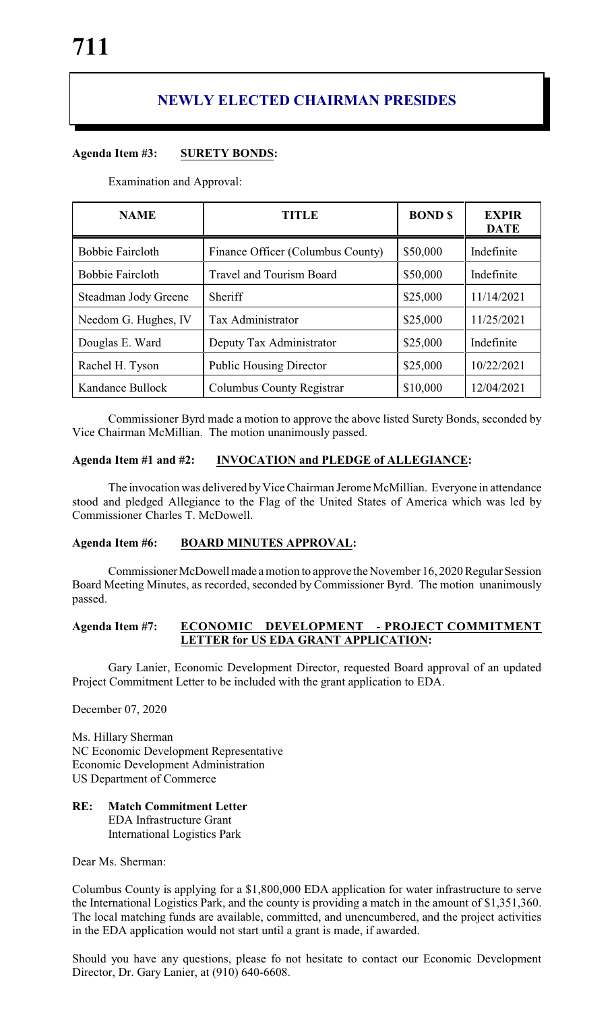# **NEWLY ELECTED CHAIRMAN PRESIDES**

# **Agenda Item #3: SURETY BONDS:**

Examination and Approval:

| <b>NAME</b>             | <b>TITLE</b>                      | <b>BOND \$</b> | <b>EXPIR</b><br><b>DATE</b> |
|-------------------------|-----------------------------------|----------------|-----------------------------|
| <b>Bobbie Faircloth</b> | Finance Officer (Columbus County) | \$50,000       | Indefinite                  |
| <b>Bobbie Faircloth</b> | <b>Travel and Tourism Board</b>   | \$50,000       | Indefinite                  |
| Steadman Jody Greene    | Sheriff                           | \$25,000       | 11/14/2021                  |
| Needom G. Hughes, IV    | Tax Administrator                 | \$25,000       | 11/25/2021                  |
| Douglas E. Ward         | Deputy Tax Administrator          | \$25,000       | Indefinite                  |
| Rachel H. Tyson         | <b>Public Housing Director</b>    | \$25,000       | 10/22/2021                  |
| Kandance Bullock        | Columbus County Registrar         | \$10,000       | 12/04/2021                  |

Commissioner Byrd made a motion to approve the above listed Surety Bonds, seconded by Vice Chairman McMillian. The motion unanimously passed.

# **Agenda Item #1 and #2: INVOCATION and PLEDGE of ALLEGIANCE:**

The invocation was delivered by Vice Chairman Jerome McMillian. Everyone in attendance stood and pledged Allegiance to the Flag of the United States of America which was led by Commissioner Charles T. McDowell.

# **Agenda Item #6: BOARD MINUTES APPROVAL:**

Commissioner McDowell made a motion to approve the November 16, 2020 Regular Session Board Meeting Minutes, as recorded, seconded by Commissioner Byrd. The motion unanimously passed.

#### **Agenda Item #7: ECONOMIC DEVELOPMENT - PROJECT COMMITMENT LETTER for US EDA GRANT APPLICATION:**

Gary Lanier, Economic Development Director, requested Board approval of an updated Project Commitment Letter to be included with the grant application to EDA.

December 07, 2020

Ms. Hillary Sherman NC Economic Development Representative Economic Development Administration US Department of Commerce

# **RE: Match Commitment Letter**

EDA Infrastructure Grant International Logistics Park

Dear Ms. Sherman:

Columbus County is applying for a \$1,800,000 EDA application for water infrastructure to serve the International Logistics Park, and the county is providing a match in the amount of \$1,351,360. The local matching funds are available, committed, and unencumbered, and the project activities in the EDA application would not start until a grant is made, if awarded.

Should you have any questions, please fo not hesitate to contact our Economic Development Director, Dr. Gary Lanier, at (910) 640-6608.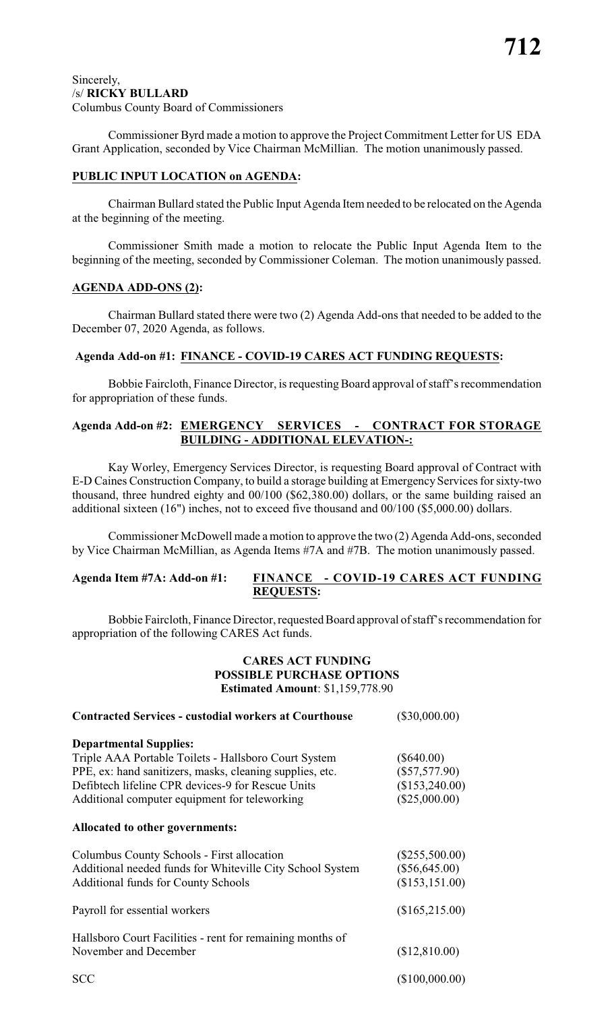#### Sincerely, /s/ **RICKY BULLARD** Columbus County Board of Commissioners

Commissioner Byrd made a motion to approve the Project Commitment Letter for US EDA Grant Application, seconded by Vice Chairman McMillian. The motion unanimously passed.

# **PUBLIC INPUT LOCATION on AGENDA:**

Chairman Bullard stated the Public Input Agenda Item needed to be relocated on the Agenda at the beginning of the meeting.

Commissioner Smith made a motion to relocate the Public Input Agenda Item to the beginning of the meeting, seconded by Commissioner Coleman. The motion unanimously passed.

# **AGENDA ADD-ONS (2):**

Chairman Bullard stated there were two (2) Agenda Add-ons that needed to be added to the December 07, 2020 Agenda, as follows.

# **Agenda Add-on #1: FINANCE - COVID-19 CARES ACT FUNDING REQUESTS:**

Bobbie Faircloth, Finance Director, is requesting Board approval of staff's recommendation for appropriation of these funds.

# **Agenda Add-on #2: EMERGENCY SERVICES - CONTRACT FOR STORAGE BUILDING - ADDITIONAL ELEVATION-:**

Kay Worley, Emergency Services Director, is requesting Board approval of Contract with E-D Caines Construction Company, to build a storage building at Emergency Services for sixty-two thousand, three hundred eighty and 00/100 (\$62,380.00) dollars, or the same building raised an additional sixteen (16") inches, not to exceed five thousand and 00/100 (\$5,000.00) dollars.

Commissioner McDowell made a motion to approve the two (2) Agenda Add-ons, seconded by Vice Chairman McMillian, as Agenda Items #7A and #7B. The motion unanimously passed.

# **Agenda Item #7A: Add-on #1: FINANCE - COVID-19 CARES ACT FUNDING REQUESTS:**

Bobbie Faircloth, Finance Director, requested Board approval of staff's recommendation for appropriation of the following CARES Act funds.

#### **CARES ACT FUNDING POSSIBLE PURCHASE OPTIONS Estimated Amount**: \$1,159,778.90

| <b>Contracted Services - custodial workers at Courthouse</b> | $(\$30,000.00)$  |
|--------------------------------------------------------------|------------------|
| <b>Departmental Supplies:</b>                                |                  |
| Triple AAA Portable Toilets - Hallsboro Court System         | $(\$640.00)$     |
| PPE, ex: hand sanitizers, masks, cleaning supplies, etc.     | $(\$57,577.90)$  |
| Defibtech lifeline CPR devices-9 for Rescue Units            | (\$153,240.00)   |
| Additional computer equipment for teleworking                | (\$25,000.00)    |
| Allocated to other governments:                              |                  |
| Columbus County Schools - First allocation                   | $(\$255,500.00)$ |
| Additional needed funds for Whiteville City School System    | $(\$56,645.00)$  |
| <b>Additional funds for County Schools</b>                   | (\$153, 151.00)  |
| Payroll for essential workers                                | (\$165,215.00)   |
| Hallsboro Court Facilities - rent for remaining months of    |                  |
| November and December                                        | (\$12,810.00)    |
| <b>SCC</b>                                                   | (\$100,000.00)   |
|                                                              |                  |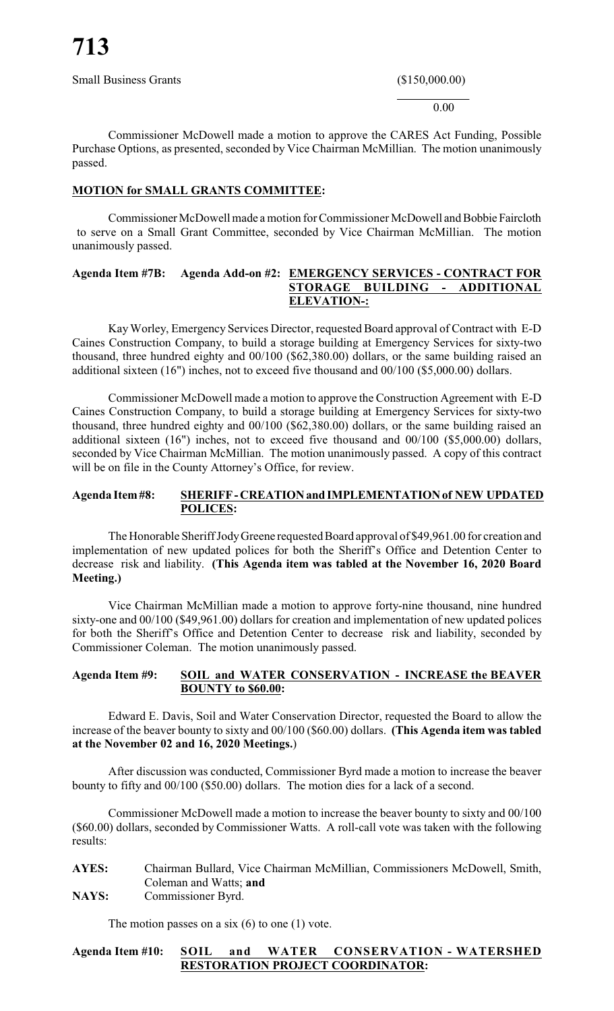Small Business Grants (\$150,000.00)

 $\frac{1}{2}$ 0.00

Commissioner McDowell made a motion to approve the CARES Act Funding, Possible Purchase Options, as presented, seconded by Vice Chairman McMillian. The motion unanimously passed.

# **MOTION for SMALL GRANTS COMMITTEE:**

Commissioner McDowell made a motion for Commissioner McDowell and Bobbie Faircloth to serve on a Small Grant Committee, seconded by Vice Chairman McMillian. The motion unanimously passed.

### **Agenda Item #7B: Agenda Add-on #2: EMERGENCY SERVICES - CONTRACT FOR STORAGE BUILDING - ADDITIONAL ELEVATION-:**

KayWorley, Emergency Services Director, requested Board approval of Contract with E-D Caines Construction Company, to build a storage building at Emergency Services for sixty-two thousand, three hundred eighty and 00/100 (\$62,380.00) dollars, or the same building raised an additional sixteen (16") inches, not to exceed five thousand and 00/100 (\$5,000.00) dollars.

Commissioner McDowell made a motion to approve the Construction Agreement with E-D Caines Construction Company, to build a storage building at Emergency Services for sixty-two thousand, three hundred eighty and 00/100 (\$62,380.00) dollars, or the same building raised an additional sixteen (16") inches, not to exceed five thousand and 00/100 (\$5,000.00) dollars, seconded by Vice Chairman McMillian. The motion unanimously passed. A copy of this contract will be on file in the County Attorney's Office, for review.

## **Agenda Item#8: SHERIFF- CREATIONand IMPLEMENTATIONof NEW UPDATED POLICES:**

The Honorable Sheriff JodyGreene requested Board approval of \$49,961.00 for creation and implementation of new updated polices for both the Sheriff's Office and Detention Center to decrease risk and liability. **(This Agenda item was tabled at the November 16, 2020 Board Meeting.)**

Vice Chairman McMillian made a motion to approve forty-nine thousand, nine hundred sixty-one and 00/100 (\$49,961.00) dollars for creation and implementation of new updated polices for both the Sheriff's Office and Detention Center to decrease risk and liability, seconded by Commissioner Coleman. The motion unanimously passed.

#### **Agenda Item #9: SOIL and WATER CONSERVATION - INCREASE the BEAVER BOUNTY to \$60.00:**

Edward E. Davis, Soil and Water Conservation Director, requested the Board to allow the increase of the beaver bounty to sixty and 00/100 (\$60.00) dollars. **(This Agenda item was tabled at the November 02 and 16, 2020 Meetings.**)

After discussion was conducted, Commissioner Byrd made a motion to increase the beaver bounty to fifty and 00/100 (\$50.00) dollars. The motion dies for a lack of a second.

Commissioner McDowell made a motion to increase the beaver bounty to sixty and 00/100 (\$60.00) dollars, seconded by Commissioner Watts. A roll-call vote was taken with the following results:

**AYES:** Chairman Bullard, Vice Chairman McMillian, Commissioners McDowell, Smith, Coleman and Watts; **and NAYS:** Commissioner Byrd.

The motion passes on a six  $(6)$  to one  $(1)$  vote.

# **Agenda Item #10: SOIL and WATER CONSERVATION - WATERSHED RESTORATION PROJECT COORDINATOR:**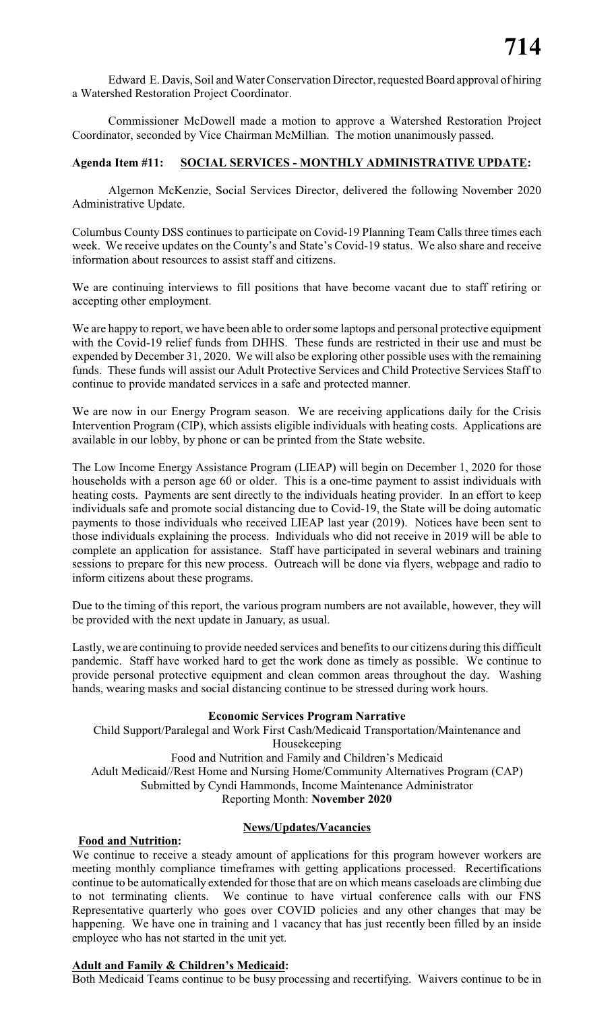Edward E. Davis, Soil and Water Conservation Director, requested Board approval of hiring a Watershed Restoration Project Coordinator.

Commissioner McDowell made a motion to approve a Watershed Restoration Project Coordinator, seconded by Vice Chairman McMillian. The motion unanimously passed.

# **Agenda Item #11: SOCIAL SERVICES - MONTHLY ADMINISTRATIVE UPDATE:**

Algernon McKenzie, Social Services Director, delivered the following November 2020 Administrative Update.

Columbus County DSS continues to participate on Covid-19 Planning Team Calls three times each week. We receive updates on the County's and State's Covid-19 status. We also share and receive information about resources to assist staff and citizens.

We are continuing interviews to fill positions that have become vacant due to staff retiring or accepting other employment.

We are happy to report, we have been able to order some laptops and personal protective equipment with the Covid-19 relief funds from DHHS. These funds are restricted in their use and must be expended by December 31, 2020. We will also be exploring other possible uses with the remaining funds. These funds will assist our Adult Protective Services and Child Protective Services Staff to continue to provide mandated services in a safe and protected manner.

We are now in our Energy Program season. We are receiving applications daily for the Crisis Intervention Program (CIP), which assists eligible individuals with heating costs. Applications are available in our lobby, by phone or can be printed from the State website.

The Low Income Energy Assistance Program (LIEAP) will begin on December 1, 2020 for those households with a person age 60 or older. This is a one-time payment to assist individuals with heating costs. Payments are sent directly to the individuals heating provider. In an effort to keep individuals safe and promote social distancing due to Covid-19, the State will be doing automatic payments to those individuals who received LIEAP last year (2019). Notices have been sent to those individuals explaining the process. Individuals who did not receive in 2019 will be able to complete an application for assistance. Staff have participated in several webinars and training sessions to prepare for this new process. Outreach will be done via flyers, webpage and radio to inform citizens about these programs.

Due to the timing of this report, the various program numbers are not available, however, they will be provided with the next update in January, as usual.

Lastly, we are continuing to provide needed services and benefits to our citizens during this difficult pandemic. Staff have worked hard to get the work done as timely as possible. We continue to provide personal protective equipment and clean common areas throughout the day. Washing hands, wearing masks and social distancing continue to be stressed during work hours.

#### **Economic Services Program Narrative**

Child Support/Paralegal and Work First Cash/Medicaid Transportation/Maintenance and Housekeeping Food and Nutrition and Family and Children's Medicaid Adult Medicaid//Rest Home and Nursing Home/Community Alternatives Program (CAP) Submitted by Cyndi Hammonds, Income Maintenance Administrator Reporting Month: **November 2020**

#### **News/Updates/Vacancies**

#### **Food and Nutrition:**

We continue to receive a steady amount of applications for this program however workers are meeting monthly compliance timeframes with getting applications processed. Recertifications continue to be automatically extended for those that are on which means caseloads are climbing due to not terminating clients. We continue to have virtual conference calls with our FNS Representative quarterly who goes over COVID policies and any other changes that may be happening. We have one in training and 1 vacancy that has just recently been filled by an inside employee who has not started in the unit yet.

#### **Adult and Family & Children's Medicaid:**

Both Medicaid Teams continue to be busy processing and recertifying. Waivers continue to be in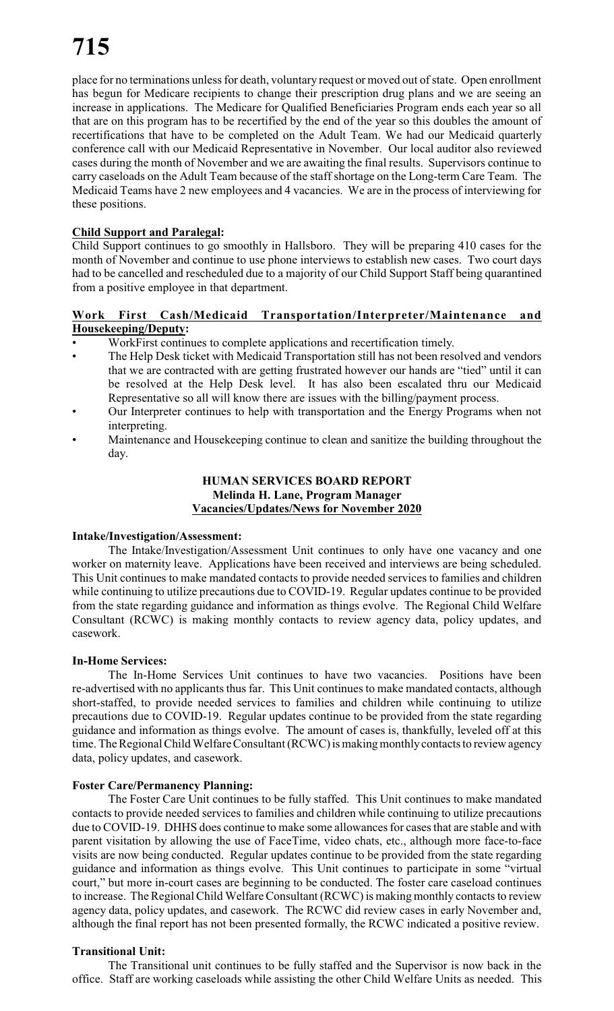place for no terminations unless for death, voluntary request or moved out of state. Open enrollment has begun for Medicare recipients to change their prescription drug plans and we are seeing an increase in applications. The Medicare for Qualified Beneficiaries Program ends each year so all that are on this program has to be recertified by the end of the year so this doubles the amount of recertifications that have to be completed on the Adult Team. We had our Medicaid quarterly conference call with our Medicaid Representative in November. Our local auditor also reviewed cases during the month of November and we are awaiting the final results. Supervisors continue to carry caseloads on the Adult Team because of the staff shortage on the Long-term Care Team. The Medicaid Teams have 2 new employees and 4 vacancies. We are in the process of interviewing for these positions.

# **Child Support and Paralegal:**

Child Support continues to go smoothly in Hallsboro. They will be preparing 410 cases for the month of November and continue to use phone interviews to establish new cases. Two court days had to be cancelled and rescheduled due to a majority of our Child Support Staff being quarantined from a positive employee in that department.

#### **Work First Cash/Medicaid Transportation/Interpreter/Maintenance and Housekeeping/Deputy:**

- WorkFirst continues to complete applications and recertification timely.
- The Help Desk ticket with Medicaid Transportation still has not been resolved and vendors that we are contracted with are getting frustrated however our hands are "tied" until it can be resolved at the Help Desk level. It has also been escalated thru our Medicaid Representative so all will know there are issues with the billing/payment process.
- Our Interpreter continues to help with transportation and the Energy Programs when not interpreting.
- Maintenance and Housekeeping continue to clean and sanitize the building throughout the day.

# **HUMAN SERVICES BOARD REPORT Melinda H. Lane, Program Manager Vacancies/Updates/News for November 2020**

#### **Intake/Investigation/Assessment:**

The Intake/Investigation/Assessment Unit continues to only have one vacancy and one worker on maternity leave. Applications have been received and interviews are being scheduled. This Unit continues to make mandated contacts to provide needed services to families and children while continuing to utilize precautions due to COVID-19. Regular updates continue to be provided from the state regarding guidance and information as things evolve. The Regional Child Welfare Consultant (RCWC) is making monthly contacts to review agency data, policy updates, and casework.

#### **In-Home Services:**

The In-Home Services Unit continues to have two vacancies. Positions have been re-advertised with no applicants thus far. This Unit continues to make mandated contacts, although short-staffed, to provide needed services to families and children while continuing to utilize precautions due to COVID-19. Regular updates continue to be provided from the state regarding guidance and information as things evolve. The amount of cases is, thankfully, leveled off at this time. The Regional Child Welfare Consultant (RCWC) is making monthly contacts to review agency data, policy updates, and casework.

#### **Foster Care/Permanency Planning:**

The Foster Care Unit continues to be fully staffed. This Unit continues to make mandated contacts to provide needed services to families and children while continuing to utilize precautions due to COVID-19. DHHS does continue to make some allowances for cases that are stable and with parent visitation by allowing the use of FaceTime, video chats, etc., although more face-to-face visits are now being conducted. Regular updates continue to be provided from the state regarding guidance and information as things evolve. This Unit continues to participate in some "virtual court," but more in-court cases are beginning to be conducted. The foster care caseload continues to increase. The Regional Child Welfare Consultant (RCWC) is making monthly contacts to review agency data, policy updates, and casework. The RCWC did review cases in early November and, although the final report has not been presented formally, the RCWC indicated a positive review.

#### **Transitional Unit:**

The Transitional unit continues to be fully staffed and the Supervisor is now back in the office. Staff are working caseloads while assisting the other Child Welfare Units as needed. This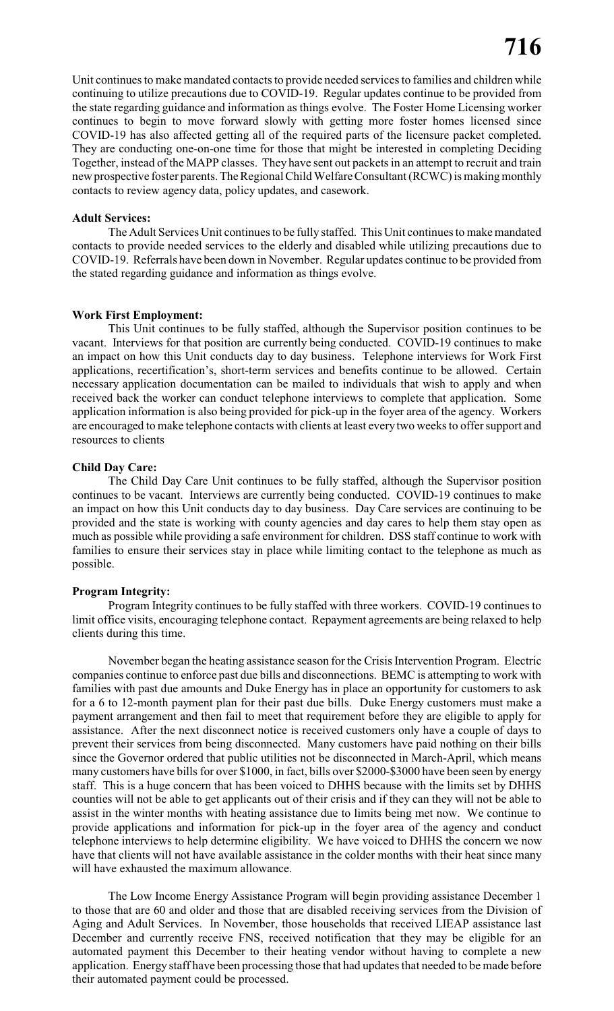Unit continues to make mandated contacts to provide needed services to families and children while continuing to utilize precautions due to COVID-19. Regular updates continue to be provided from the state regarding guidance and information as things evolve. The Foster Home Licensing worker continues to begin to move forward slowly with getting more foster homes licensed since COVID-19 has also affected getting all of the required parts of the licensure packet completed. They are conducting one-on-one time for those that might be interested in completing Deciding Together, instead of the MAPP classes. They have sent out packets in an attempt to recruit and train new prospective foster parents. The Regional Child Welfare Consultant (RCWC) is making monthly contacts to review agency data, policy updates, and casework.

#### **Adult Services:**

The Adult Services Unit continues to be fully staffed. This Unit continues to make mandated contacts to provide needed services to the elderly and disabled while utilizing precautions due to COVID-19. Referrals have been down in November. Regular updates continue to be provided from the stated regarding guidance and information as things evolve.

#### **Work First Employment:**

This Unit continues to be fully staffed, although the Supervisor position continues to be vacant. Interviews for that position are currently being conducted. COVID-19 continues to make an impact on how this Unit conducts day to day business. Telephone interviews for Work First applications, recertification's, short-term services and benefits continue to be allowed. Certain necessary application documentation can be mailed to individuals that wish to apply and when received back the worker can conduct telephone interviews to complete that application. Some application information is also being provided for pick-up in the foyer area of the agency. Workers are encouraged to make telephone contacts with clients at least every two weeks to offer support and resources to clients

#### **Child Day Care:**

The Child Day Care Unit continues to be fully staffed, although the Supervisor position continues to be vacant. Interviews are currently being conducted. COVID-19 continues to make an impact on how this Unit conducts day to day business. Day Care services are continuing to be provided and the state is working with county agencies and day cares to help them stay open as much as possible while providing a safe environment for children. DSS staff continue to work with families to ensure their services stay in place while limiting contact to the telephone as much as possible.

#### **Program Integrity:**

Program Integrity continues to be fully staffed with three workers. COVID-19 continues to limit office visits, encouraging telephone contact. Repayment agreements are being relaxed to help clients during this time.

November began the heating assistance season for the Crisis Intervention Program. Electric companies continue to enforce past due bills and disconnections. BEMC is attempting to work with families with past due amounts and Duke Energy has in place an opportunity for customers to ask for a 6 to 12-month payment plan for their past due bills. Duke Energy customers must make a payment arrangement and then fail to meet that requirement before they are eligible to apply for assistance. After the next disconnect notice is received customers only have a couple of days to prevent their services from being disconnected. Many customers have paid nothing on their bills since the Governor ordered that public utilities not be disconnected in March-April, which means many customers have bills for over \$1000, in fact, bills over \$2000-\$3000 have been seen by energy staff. This is a huge concern that has been voiced to DHHS because with the limits set by DHHS counties will not be able to get applicants out of their crisis and if they can they will not be able to assist in the winter months with heating assistance due to limits being met now. We continue to provide applications and information for pick-up in the foyer area of the agency and conduct telephone interviews to help determine eligibility. We have voiced to DHHS the concern we now have that clients will not have available assistance in the colder months with their heat since many will have exhausted the maximum allowance.

The Low Income Energy Assistance Program will begin providing assistance December 1 to those that are 60 and older and those that are disabled receiving services from the Division of Aging and Adult Services. In November, those households that received LIEAP assistance last December and currently receive FNS, received notification that they may be eligible for an automated payment this December to their heating vendor without having to complete a new application. Energy staff have been processing those that had updates that needed to be made before their automated payment could be processed.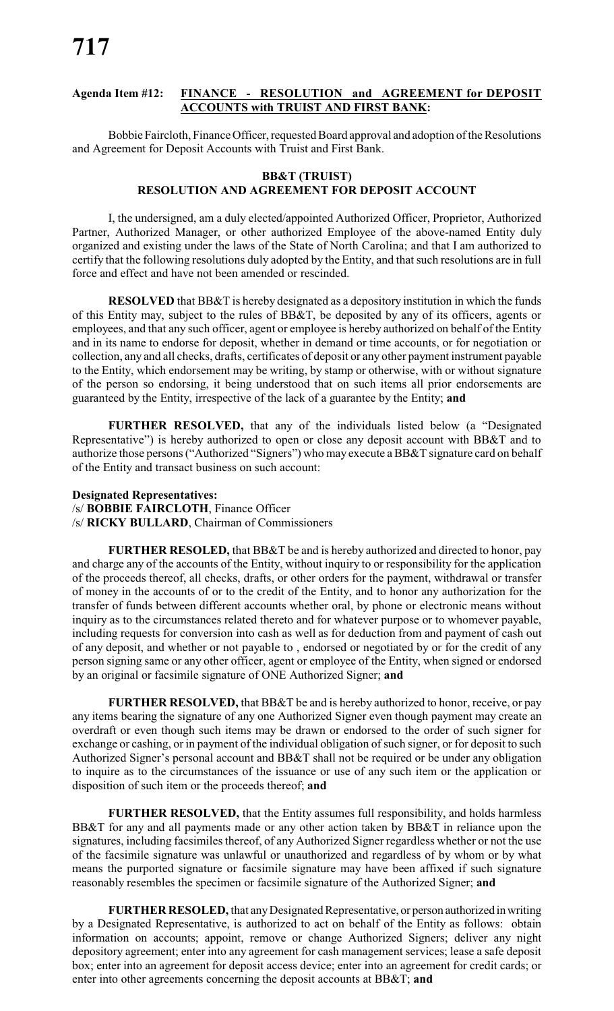#### **Agenda Item #12: FINANCE - RESOLUTION and AGREEMENT for DEPOSIT ACCOUNTS with TRUIST AND FIRST BANK:**

Bobbie Faircloth, Finance Officer, requested Board approval and adoption of the Resolutions and Agreement for Deposit Accounts with Truist and First Bank.

#### **BB&T (TRUIST) RESOLUTION AND AGREEMENT FOR DEPOSIT ACCOUNT**

I, the undersigned, am a duly elected/appointed Authorized Officer, Proprietor, Authorized Partner, Authorized Manager, or other authorized Employee of the above-named Entity duly organized and existing under the laws of the State of North Carolina; and that I am authorized to certify that the following resolutions duly adopted by the Entity, and that such resolutions are in full force and effect and have not been amended or rescinded.

**RESOLVED** that BB&T is hereby designated as a depository institution in which the funds of this Entity may, subject to the rules of BB&T, be deposited by any of its officers, agents or employees, and that any such officer, agent or employee is hereby authorized on behalf of the Entity and in its name to endorse for deposit, whether in demand or time accounts, or for negotiation or collection, any and all checks, drafts, certificates of deposit or any other payment instrument payable to the Entity, which endorsement may be writing, by stamp or otherwise, with or without signature of the person so endorsing, it being understood that on such items all prior endorsements are guaranteed by the Entity, irrespective of the lack of a guarantee by the Entity; **and**

**FURTHER RESOLVED,** that any of the individuals listed below (a "Designated Representative") is hereby authorized to open or close any deposit account with BB&T and to authorize those persons ("Authorized "Signers") who may execute a BB&T signature card on behalf of the Entity and transact business on such account:

#### **Designated Representatives:**

/s/ **BOBBIE FAIRCLOTH**, Finance Officer

/s/ **RICKY BULLARD**, Chairman of Commissioners

**FURTHER RESOLED,** that BB&T be and is hereby authorized and directed to honor, pay and charge any of the accounts of the Entity, without inquiry to or responsibility for the application of the proceeds thereof, all checks, drafts, or other orders for the payment, withdrawal or transfer of money in the accounts of or to the credit of the Entity, and to honor any authorization for the transfer of funds between different accounts whether oral, by phone or electronic means without inquiry as to the circumstances related thereto and for whatever purpose or to whomever payable, including requests for conversion into cash as well as for deduction from and payment of cash out of any deposit, and whether or not payable to , endorsed or negotiated by or for the credit of any person signing same or any other officer, agent or employee of the Entity, when signed or endorsed by an original or facsimile signature of ONE Authorized Signer; **and**

**FURTHER RESOLVED,** that BB&T be and is hereby authorized to honor, receive, or pay any items bearing the signature of any one Authorized Signer even though payment may create an overdraft or even though such items may be drawn or endorsed to the order of such signer for exchange or cashing, or in payment of the individual obligation of such signer, or for deposit to such Authorized Signer's personal account and BB&T shall not be required or be under any obligation to inquire as to the circumstances of the issuance or use of any such item or the application or disposition of such item or the proceeds thereof; **and**

**FURTHER RESOLVED,** that the Entity assumes full responsibility, and holds harmless BB&T for any and all payments made or any other action taken by BB&T in reliance upon the signatures, including facsimiles thereof, of any Authorized Signer regardless whether or not the use of the facsimile signature was unlawful or unauthorized and regardless of by whom or by what means the purported signature or facsimile signature may have been affixed if such signature reasonably resembles the specimen or facsimile signature of the Authorized Signer; **and**

**FURTHER RESOLED,** that anyDesignated Representative, or person authorized inwriting by a Designated Representative, is authorized to act on behalf of the Entity as follows: obtain information on accounts; appoint, remove or change Authorized Signers; deliver any night depository agreement; enter into any agreement for cash management services; lease a safe deposit box; enter into an agreement for deposit access device; enter into an agreement for credit cards; or enter into other agreements concerning the deposit accounts at BB&T; **and**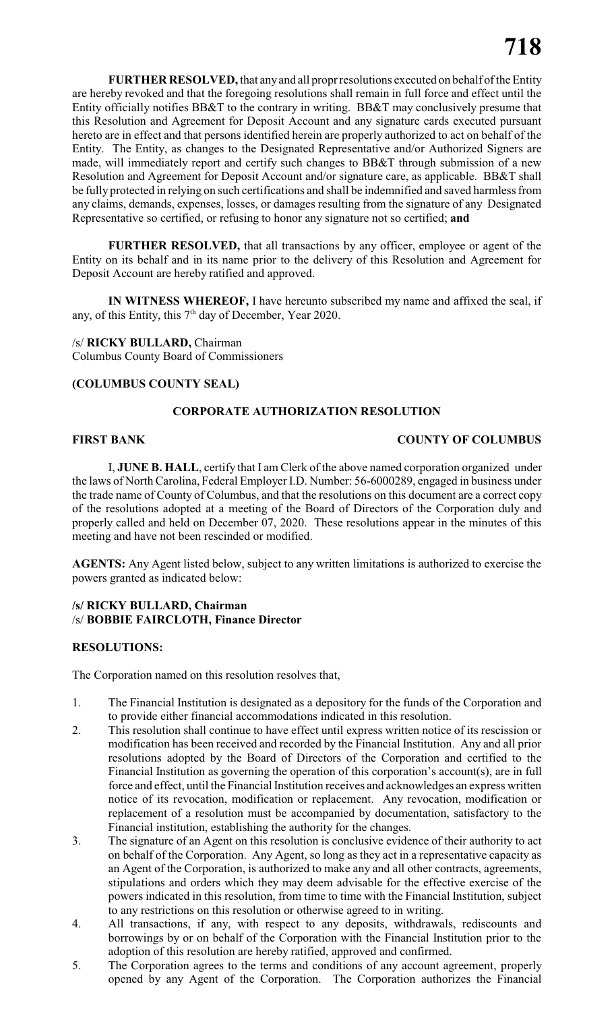**FURTHER RESOLVED,** that anyand all propr resolutions executed on behalf of the Entity are hereby revoked and that the foregoing resolutions shall remain in full force and effect until the Entity officially notifies BB&T to the contrary in writing. BB&T may conclusively presume that this Resolution and Agreement for Deposit Account and any signature cards executed pursuant hereto are in effect and that persons identified herein are properly authorized to act on behalf of the Entity. The Entity, as changes to the Designated Representative and/or Authorized Signers are made, will immediately report and certify such changes to BB&T through submission of a new Resolution and Agreement for Deposit Account and/or signature care, as applicable. BB&T shall be fully protected in relying on such certifications and shall be indemnified and saved harmless from any claims, demands, expenses, losses, or damages resulting from the signature of any Designated Representative so certified, or refusing to honor any signature not so certified; **and**

**FURTHER RESOLVED,** that all transactions by any officer, employee or agent of the Entity on its behalf and in its name prior to the delivery of this Resolution and Agreement for Deposit Account are hereby ratified and approved.

**IN WITNESS WHEREOF,** I have hereunto subscribed my name and affixed the seal, if any, of this Entity, this  $7<sup>th</sup>$  day of December, Year 2020.

/s/ **RICKY BULLARD,** Chairman Columbus County Board of Commissioners

#### **(COLUMBUS COUNTY SEAL)**

### **CORPORATE AUTHORIZATION RESOLUTION**

# **FIRST BANK COUNTY OF COLUMBUS**

I, **JUNE B. HALL**, certify that I am Clerk of the above named corporation organized under the laws of North Carolina, Federal Employer I.D. Number: 56-6000289, engaged in business under the trade name of County of Columbus, and that the resolutions on this document are a correct copy of the resolutions adopted at a meeting of the Board of Directors of the Corporation duly and properly called and held on December 07, 2020. These resolutions appear in the minutes of this meeting and have not been rescinded or modified.

**AGENTS:** Any Agent listed below, subject to any written limitations is authorized to exercise the powers granted as indicated below:

#### **/s/ RICKY BULLARD, Chairman** /s/ **BOBBIE FAIRCLOTH, Finance Director**

#### **RESOLUTIONS:**

The Corporation named on this resolution resolves that,

- 1. The Financial Institution is designated as a depository for the funds of the Corporation and to provide either financial accommodations indicated in this resolution.
- 2. This resolution shall continue to have effect until express written notice of its rescission or modification has been received and recorded by the Financial Institution. Any and all prior resolutions adopted by the Board of Directors of the Corporation and certified to the Financial Institution as governing the operation of this corporation's account(s), are in full force and effect, until the Financial Institution receives and acknowledges an express written notice of its revocation, modification or replacement. Any revocation, modification or replacement of a resolution must be accompanied by documentation, satisfactory to the Financial institution, establishing the authority for the changes.
- 3. The signature of an Agent on this resolution is conclusive evidence of their authority to act on behalf of the Corporation. Any Agent, so long as they act in a representative capacity as an Agent of the Corporation, is authorized to make any and all other contracts, agreements, stipulations and orders which they may deem advisable for the effective exercise of the powers indicated in this resolution, from time to time with the Financial Institution, subject to any restrictions on this resolution or otherwise agreed to in writing.
- 4. All transactions, if any, with respect to any deposits, withdrawals, rediscounts and borrowings by or on behalf of the Corporation with the Financial Institution prior to the adoption of this resolution are hereby ratified, approved and confirmed.
- 5. The Corporation agrees to the terms and conditions of any account agreement, properly opened by any Agent of the Corporation. The Corporation authorizes the Financial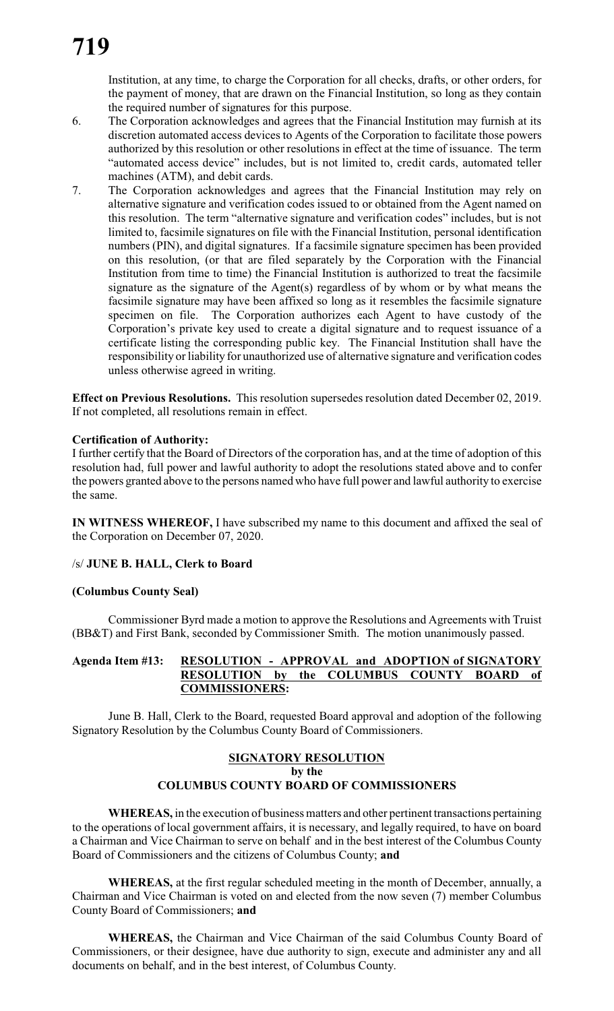Institution, at any time, to charge the Corporation for all checks, drafts, or other orders, for the payment of money, that are drawn on the Financial Institution, so long as they contain the required number of signatures for this purpose.

- 6. The Corporation acknowledges and agrees that the Financial Institution may furnish at its discretion automated access devices to Agents of the Corporation to facilitate those powers authorized by this resolution or other resolutions in effect at the time of issuance. The term "automated access device" includes, but is not limited to, credit cards, automated teller machines (ATM), and debit cards.
- 7. The Corporation acknowledges and agrees that the Financial Institution may rely on alternative signature and verification codes issued to or obtained from the Agent named on this resolution. The term "alternative signature and verification codes" includes, but is not limited to, facsimile signatures on file with the Financial Institution, personal identification numbers (PIN), and digital signatures. If a facsimile signature specimen has been provided on this resolution, (or that are filed separately by the Corporation with the Financial Institution from time to time) the Financial Institution is authorized to treat the facsimile signature as the signature of the Agent(s) regardless of by whom or by what means the facsimile signature may have been affixed so long as it resembles the facsimile signature specimen on file. The Corporation authorizes each Agent to have custody of the Corporation's private key used to create a digital signature and to request issuance of a certificate listing the corresponding public key. The Financial Institution shall have the responsibility or liability for unauthorized use of alternative signature and verification codes unless otherwise agreed in writing.

**Effect on Previous Resolutions.** This resolution supersedes resolution dated December 02, 2019. If not completed, all resolutions remain in effect.

#### **Certification of Authority:**

I further certify that the Board of Directors of the corporation has, and at the time of adoption of this resolution had, full power and lawful authority to adopt the resolutions stated above and to confer the powers granted above to the persons named who have full power and lawful authority to exercise the same.

**IN WITNESS WHEREOF,** I have subscribed my name to this document and affixed the seal of the Corporation on December 07, 2020.

#### /s/ **JUNE B. HALL, Clerk to Board**

#### **(Columbus County Seal)**

Commissioner Byrd made a motion to approve the Resolutions and Agreements with Truist (BB&T) and First Bank, seconded by Commissioner Smith. The motion unanimously passed.

#### **Agenda Item #13: RESOLUTION - APPROVAL and ADOPTION of SIGNATORY RESOLUTION by the COLUMBUS COUNTY BOARD of COMMISSIONERS:**

June B. Hall, Clerk to the Board, requested Board approval and adoption of the following Signatory Resolution by the Columbus County Board of Commissioners.

# **SIGNATORY RESOLUTION by the COLUMBUS COUNTY BOARD OF COMMISSIONERS**

**WHEREAS,** in the execution of business matters and other pertinent transactions pertaining to the operations of local government affairs, it is necessary, and legally required, to have on board a Chairman and Vice Chairman to serve on behalf and in the best interest of the Columbus County Board of Commissioners and the citizens of Columbus County; **and**

**WHEREAS,** at the first regular scheduled meeting in the month of December, annually, a Chairman and Vice Chairman is voted on and elected from the now seven (7) member Columbus County Board of Commissioners; **and**

**WHEREAS,** the Chairman and Vice Chairman of the said Columbus County Board of Commissioners, or their designee, have due authority to sign, execute and administer any and all documents on behalf, and in the best interest, of Columbus County.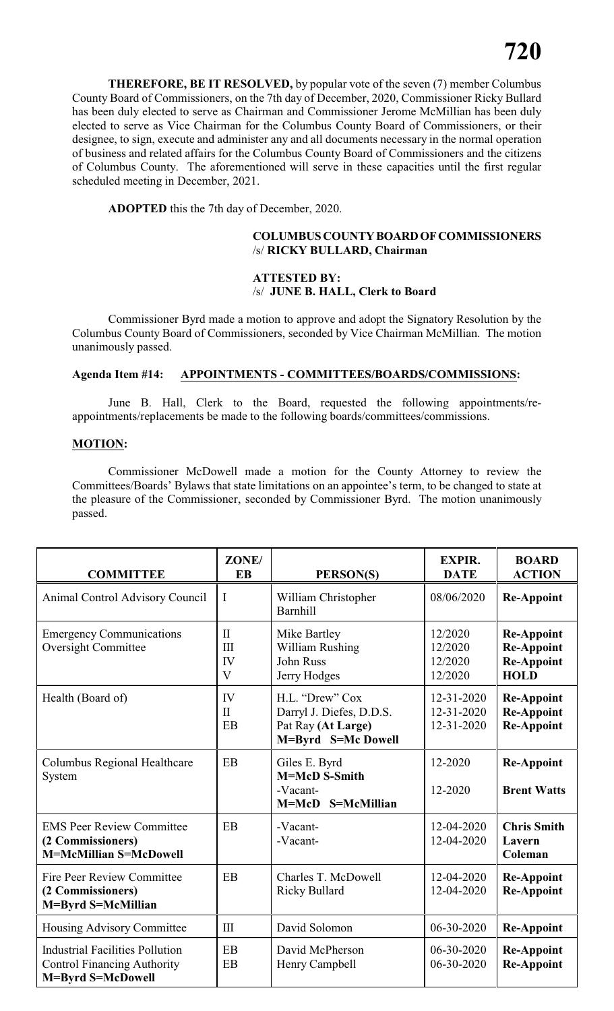**THEREFORE, BE IT RESOLVED,** by popular vote of the seven (7) member Columbus County Board of Commissioners, on the 7th day of December, 2020, Commissioner Ricky Bullard has been duly elected to serve as Chairman and Commissioner Jerome McMillian has been duly elected to serve as Vice Chairman for the Columbus County Board of Commissioners, or their designee, to sign, execute and administer any and all documents necessary in the normal operation of business and related affairs for the Columbus County Board of Commissioners and the citizens of Columbus County. The aforementioned will serve in these capacities until the first regular scheduled meeting in December, 2021.

**ADOPTED** this the 7th day of December, 2020.

### **COLUMBUSCOUNTYBOARDOFCOMMISSIONERS** /s/ **RICKY BULLARD, Chairman**

#### **ATTESTED BY:** /s/ **JUNE B. HALL, Clerk to Board**

Commissioner Byrd made a motion to approve and adopt the Signatory Resolution by the Columbus County Board of Commissioners, seconded by Vice Chairman McMillian. The motion unanimously passed.

#### **Agenda Item #14: APPOINTMENTS - COMMITTEES/BOARDS/COMMISSIONS:**

June B. Hall, Clerk to the Board, requested the following appointments/reappointments/replacements be made to the following boards/committees/commissions.

#### **MOTION:**

Commissioner McDowell made a motion for the County Attorney to review the Committees/Boards' Bylaws that state limitations on an appointee's term, to be changed to state at the pleasure of the Commissioner, seconded by Commissioner Byrd. The motion unanimously passed.

| <b>COMMITTEE</b>                                                                                  | ZONE/<br><b>EB</b>                          | PERSON(S)                                                                               | <b>EXPIR.</b><br><b>DATE</b>             | <b>BOARD</b><br><b>ACTION</b>                                              |
|---------------------------------------------------------------------------------------------------|---------------------------------------------|-----------------------------------------------------------------------------------------|------------------------------------------|----------------------------------------------------------------------------|
| Animal Control Advisory Council                                                                   | I                                           | William Christopher<br>Barnhill                                                         | 08/06/2020                               | <b>Re-Appoint</b>                                                          |
| <b>Emergency Communications</b><br><b>Oversight Committee</b>                                     | $\Pi$<br>$\mathbf{H}$<br>IV<br>$\mathbf{V}$ | Mike Bartley<br>William Rushing<br><b>John Russ</b><br>Jerry Hodges                     | 12/2020<br>12/2020<br>12/2020<br>12/2020 | <b>Re-Appoint</b><br><b>Re-Appoint</b><br><b>Re-Appoint</b><br><b>HOLD</b> |
| Health (Board of)                                                                                 | <b>IV</b><br>$\mathbf{I}$<br>EB             | H.L. "Drew" Cox<br>Darryl J. Diefes, D.D.S.<br>Pat Ray (At Large)<br>M=Byrd S=Mc Dowell | 12-31-2020<br>12-31-2020<br>12-31-2020   | <b>Re-Appoint</b><br><b>Re-Appoint</b><br><b>Re-Appoint</b>                |
| Columbus Regional Healthcare<br>System                                                            | EB                                          | Giles E. Byrd<br>M=McD S-Smith<br>-Vacant-<br>M=McD S=McMillian                         | 12-2020<br>12-2020                       | <b>Re-Appoint</b><br><b>Brent Watts</b>                                    |
| <b>EMS Peer Review Committee</b><br>(2 Commissioners)<br><b>M=McMillian S=McDowell</b>            | EB                                          | -Vacant-<br>-Vacant-                                                                    | 12-04-2020<br>12-04-2020                 | <b>Chris Smith</b><br>Lavern<br>Coleman                                    |
| <b>Fire Peer Review Committee</b><br>(2 Commissioners)<br>M=Byrd S=McMillian                      | EB                                          | Charles T. McDowell<br><b>Ricky Bullard</b>                                             | 12-04-2020<br>12-04-2020                 | <b>Re-Appoint</b><br><b>Re-Appoint</b>                                     |
| Housing Advisory Committee                                                                        | $\rm III$                                   | David Solomon                                                                           | 06-30-2020                               | <b>Re-Appoint</b>                                                          |
| <b>Industrial Facilities Pollution</b><br><b>Control Financing Authority</b><br>M=Byrd S=McDowell | EB<br>EB                                    | David McPherson<br>Henry Campbell                                                       | 06-30-2020<br>06-30-2020                 | <b>Re-Appoint</b><br><b>Re-Appoint</b>                                     |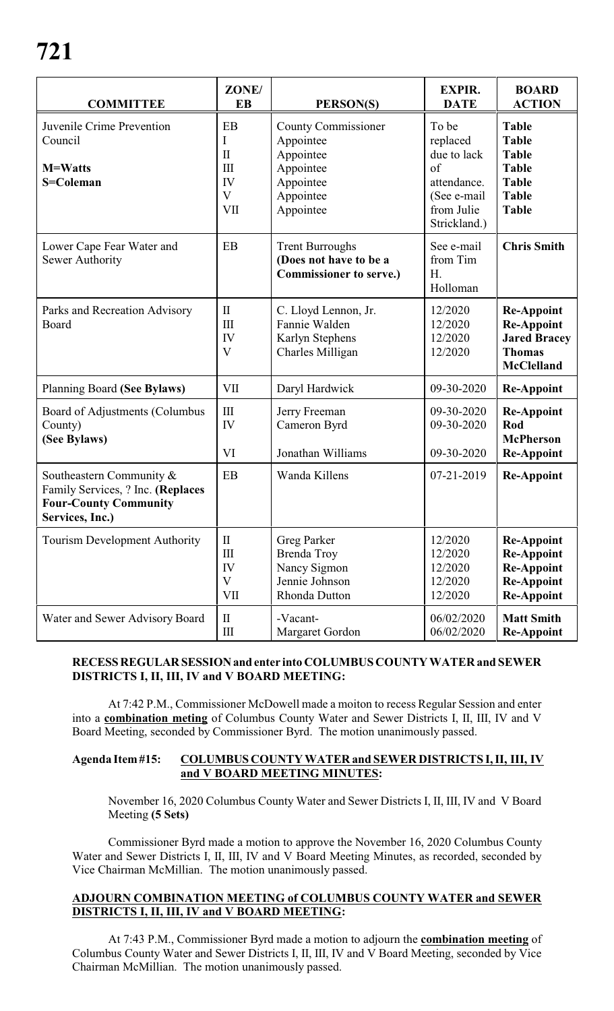| <b>COMMITTEE</b>                                                                                                 | ZONE/<br><b>EB</b>                                                           | PERSON(S)                                                                                         | <b>EXPIR.</b><br><b>DATE</b>                                                                               | <b>BOARD</b><br><b>ACTION</b>                                                                                |
|------------------------------------------------------------------------------------------------------------------|------------------------------------------------------------------------------|---------------------------------------------------------------------------------------------------|------------------------------------------------------------------------------------------------------------|--------------------------------------------------------------------------------------------------------------|
| Juvenile Crime Prevention<br>Council<br><b>M=Watts</b><br>S=Coleman                                              | EB<br>I<br>$\mathbf{I}$<br>$\mathop{\rm III}\nolimits$<br>IV<br>V<br>VII     | County Commissioner<br>Appointee<br>Appointee<br>Appointee<br>Appointee<br>Appointee<br>Appointee | To be<br>replaced<br>due to lack<br>$\sigma$ f<br>attendance.<br>(See e-mail<br>from Julie<br>Strickland.) | <b>Table</b><br><b>Table</b><br><b>Table</b><br><b>Table</b><br><b>Table</b><br><b>Table</b><br><b>Table</b> |
| Lower Cape Fear Water and<br><b>Sewer Authority</b>                                                              | EB                                                                           | <b>Trent Burroughs</b><br>(Does not have to be a<br><b>Commissioner to serve.)</b>                | See e-mail<br>from Tim<br>H.<br>Holloman                                                                   | <b>Chris Smith</b>                                                                                           |
| Parks and Recreation Advisory<br>Board                                                                           | $\mathbf{I}$<br>$\mathop{\mathrm{III}}\nolimits$<br>IV<br>V                  | C. Lloyd Lennon, Jr.<br>Fannie Walden<br>Karlyn Stephens<br>Charles Milligan                      | 12/2020<br>12/2020<br>12/2020<br>12/2020                                                                   | <b>Re-Appoint</b><br><b>Re-Appoint</b><br><b>Jared Bracey</b><br><b>Thomas</b><br><b>McClelland</b>          |
| Planning Board (See Bylaws)                                                                                      | VII                                                                          | Daryl Hardwick                                                                                    | 09-30-2020                                                                                                 | <b>Re-Appoint</b>                                                                                            |
| Board of Adjustments (Columbus<br>County)<br>(See Bylaws)                                                        | $\mathop{\rm III}\nolimits$<br>IV<br>VI                                      | Jerry Freeman<br>Cameron Byrd<br>Jonathan Williams                                                | 09-30-2020<br>09-30-2020<br>09-30-2020                                                                     | <b>Re-Appoint</b><br>Rod<br><b>McPherson</b><br><b>Re-Appoint</b>                                            |
| Southeastern Community &<br>Family Services, ? Inc. (Replaces<br><b>Four-County Community</b><br>Services, Inc.) | EB                                                                           | Wanda Killens                                                                                     | 07-21-2019                                                                                                 | <b>Re-Appoint</b>                                                                                            |
| <b>Tourism Development Authority</b>                                                                             | $\mathbf{I}$<br>$\mathop{\mathrm{III}}\nolimits$<br>IV<br>$\mathbf V$<br>VII | Greg Parker<br>Brenda Troy<br>Nancy Sigmon<br>Jennie Johnson<br>Rhonda Dutton                     | 12/2020<br>12/2020<br>12/2020<br>12/2020<br>12/2020                                                        | <b>Re-Appoint</b><br><b>Re-Appoint</b><br><b>Re-Appoint</b><br><b>Re-Appoint</b><br><b>Re-Appoint</b>        |
| Water and Sewer Advisory Board                                                                                   | $\mathbf{I}$<br>$\rm III$                                                    | -Vacant-<br>Margaret Gordon                                                                       | 06/02/2020<br>06/02/2020                                                                                   | <b>Matt Smith</b><br><b>Re-Appoint</b>                                                                       |

# **RECESSREGULARSESSIONand enter into COLUMBUS COUNTY WATER and SEWER DISTRICTS I, II, III, IV and V BOARD MEETING:**

At 7:42 P.M., Commissioner McDowell made a moiton to recess Regular Session and enter into a **combination meting** of Columbus County Water and Sewer Districts I, II, III, IV and V Board Meeting, seconded by Commissioner Byrd. The motion unanimously passed.

# **Agenda Item#15: COLUMBUS COUNTY WATER and SEWER DISTRICTS I, II, III, IV and V BOARD MEETING MINUTES:**

November 16, 2020 Columbus County Water and Sewer Districts I, II, III, IV and V Board Meeting **(5 Sets)**

Commissioner Byrd made a motion to approve the November 16, 2020 Columbus County Water and Sewer Districts I, II, III, IV and V Board Meeting Minutes, as recorded, seconded by Vice Chairman McMillian. The motion unanimously passed.

# **ADJOURN COMBINATION MEETING of COLUMBUS COUNTY WATER and SEWER DISTRICTS I, II, III, IV and V BOARD MEETING:**

At 7:43 P.M., Commissioner Byrd made a motion to adjourn the **combination meeting** of Columbus County Water and Sewer Districts I, II, III, IV and V Board Meeting, seconded by Vice Chairman McMillian. The motion unanimously passed.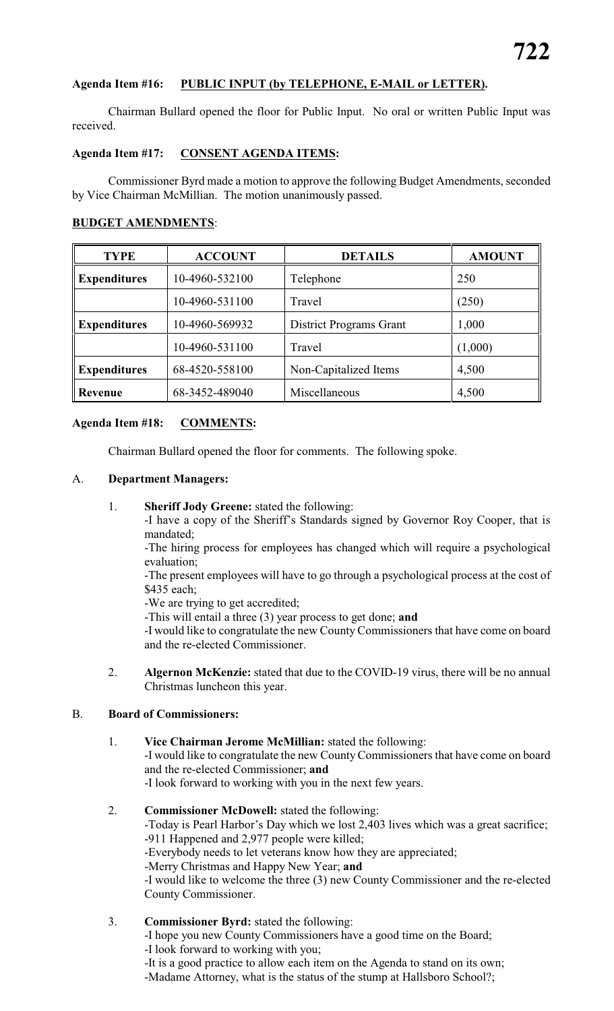# **Agenda Item #16: PUBLIC INPUT (by TELEPHONE, E-MAIL or LETTER).**

Chairman Bullard opened the floor for Public Input. No oral or written Public Input was received.

#### **Agenda Item #17: CONSENT AGENDA ITEMS:**

Commissioner Byrd made a motion to approve the following Budget Amendments, seconded by Vice Chairman McMillian. The motion unanimously passed.

#### **BUDGET AMENDMENTS**:

| <b>TYPE</b>         | <b>ACCOUNT</b> | <b>DETAILS</b>                 | <b>AMOUNT</b> |
|---------------------|----------------|--------------------------------|---------------|
| <b>Expenditures</b> | 10-4960-532100 | Telephone                      | 250           |
|                     | 10-4960-531100 | Travel                         | (250)         |
| <b>Expenditures</b> | 10-4960-569932 | <b>District Programs Grant</b> | 1,000         |
|                     | 10-4960-531100 | Travel                         | (1,000)       |
| <b>Expenditures</b> | 68-4520-558100 | Non-Capitalized Items          | 4,500         |
| <b>Revenue</b>      | 68-3452-489040 | Miscellaneous                  | 4,500         |

#### **Agenda Item #18: COMMENTS:**

Chairman Bullard opened the floor for comments. The following spoke.

#### A. **Department Managers:**

1. **Sheriff Jody Greene:** stated the following:

-I have a copy of the Sheriff's Standards signed by Governor Roy Cooper, that is mandated;

-The hiring process for employees has changed which will require a psychological evaluation;

-The present employees will have to go through a psychological process at the cost of \$435 each;

-We are trying to get accredited;

-This will entail a three (3) year process to get done; **and**

-I would like to congratulate the new County Commissioners that have come on board and the re-elected Commissioner.

2. **Algernon McKenzie:** stated that due to the COVID-19 virus, there will be no annual Christmas luncheon this year.

# B. **Board of Commissioners:**

- 1. **Vice Chairman Jerome McMillian:** stated the following: -I would like to congratulate the new CountyCommissioners that have come on board and the re-elected Commissioner; **and** -I look forward to working with you in the next few years.
- 2. **Commissioner McDowell:** stated the following: -Today is Pearl Harbor's Day which we lost 2,403 lives which was a great sacrifice; -911 Happened and 2,977 people were killed; -Everybody needs to let veterans know how they are appreciated; -Merry Christmas and Happy New Year; **and** -I would like to welcome the three (3) new County Commissioner and the re-elected County Commissioner.
- 3. **Commissioner Byrd:** stated the following:

-I hope you new County Commissioners have a good time on the Board;

-I look forward to working with you;

-It is a good practice to allow each item on the Agenda to stand on its own;

-Madame Attorney, what is the status of the stump at Hallsboro School?;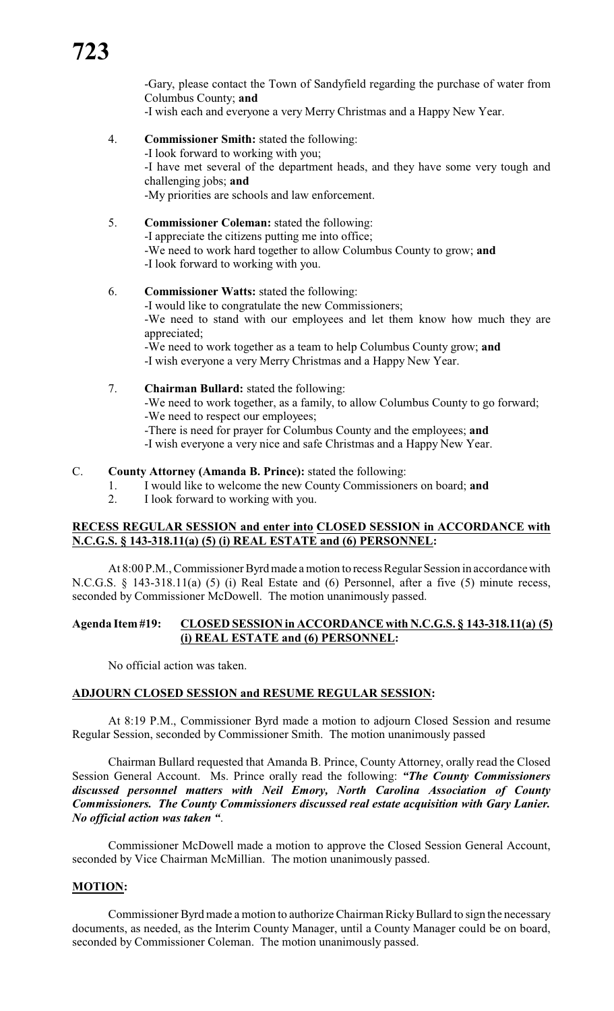-Gary, please contact the Town of Sandyfield regarding the purchase of water from Columbus County; **and**

-I wish each and everyone a very Merry Christmas and a Happy New Year.

- 4. **Commissioner Smith:** stated the following: -I look forward to working with you; -I have met several of the department heads, and they have some very tough and challenging jobs; **and** -My priorities are schools and law enforcement.
- 5. **Commissioner Coleman:** stated the following: -I appreciate the citizens putting me into office; -We need to work hard together to allow Columbus County to grow; **and** -I look forward to working with you.
- 6. **Commissioner Watts:** stated the following: -I would like to congratulate the new Commissioners; -We need to stand with our employees and let them know how much they are appreciated; -We need to work together as a team to help Columbus County grow; **and** -I wish everyone a very Merry Christmas and a Happy New Year.
- 7. **Chairman Bullard:** stated the following: -We need to work together, as a family, to allow Columbus County to go forward; -We need to respect our employees; -There is need for prayer for Columbus County and the employees; **and** -I wish everyone a very nice and safe Christmas and a Happy New Year.

#### C. **County Attorney (Amanda B. Prince):** stated the following:

- 1. I would like to welcome the new County Commissioners on board; **and**
- 2. I look forward to working with you.

#### **RECESS REGULAR SESSION and enter into CLOSED SESSION in ACCORDANCE with N.C.G.S. § 143-318.11(a) (5) (i) REAL ESTATE and (6) PERSONNEL:**

At 8:00 P.M., Commissioner Byrd made a motion to recess Regular Session in accordance with N.C.G.S. § 143-318.11(a) (5) (i) Real Estate and (6) Personnel, after a five (5) minute recess, seconded by Commissioner McDowell. The motion unanimously passed.

#### **Agenda Item #19: CLOSED SESSION in ACCORDANCE with N.C.G.S. § 143-318.11(a) (5) (i) REAL ESTATE and (6) PERSONNEL:**

No official action was taken.

#### **ADJOURN CLOSED SESSION and RESUME REGULAR SESSION:**

At 8:19 P.M., Commissioner Byrd made a motion to adjourn Closed Session and resume Regular Session, seconded by Commissioner Smith. The motion unanimously passed

Chairman Bullard requested that Amanda B. Prince, County Attorney, orally read the Closed Session General Account. Ms. Prince orally read the following: *"The County Commissioners discussed personnel matters with Neil Emory, North Carolina Association of County Commissioners. The County Commissioners discussed real estate acquisition with Gary Lanier. No official action was taken "*.

Commissioner McDowell made a motion to approve the Closed Session General Account, seconded by Vice Chairman McMillian. The motion unanimously passed.

### **MOTION:**

Commissioner Byrd made a motion to authorize Chairman Ricky Bullard to sign the necessary documents, as needed, as the Interim County Manager, until a County Manager could be on board, seconded by Commissioner Coleman. The motion unanimously passed.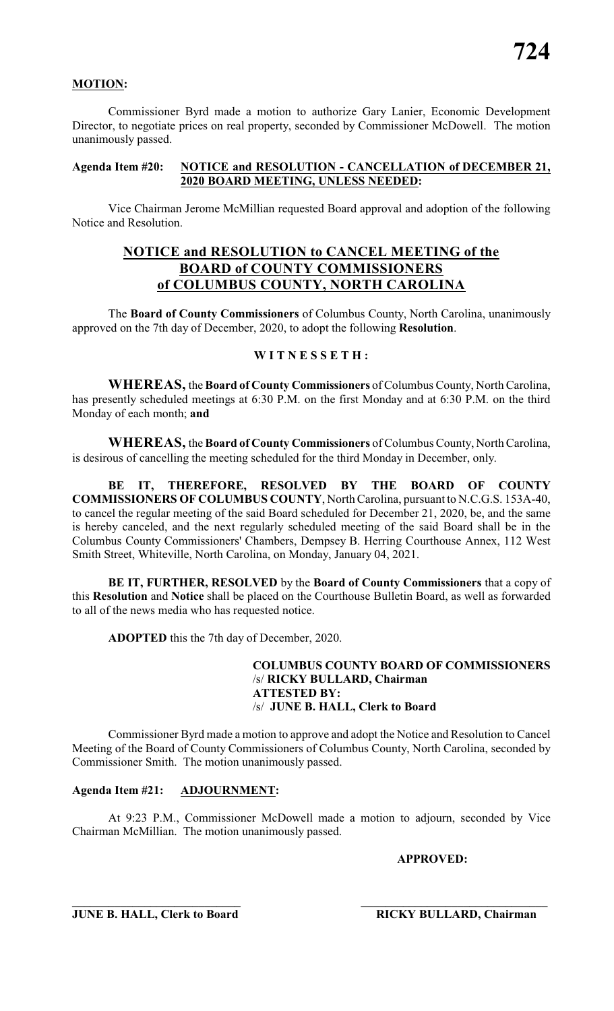#### **MOTION:**

Commissioner Byrd made a motion to authorize Gary Lanier, Economic Development Director, to negotiate prices on real property, seconded by Commissioner McDowell. The motion unanimously passed.

#### **Agenda Item #20: NOTICE and RESOLUTION - CANCELLATION of DECEMBER 21, 2020 BOARD MEETING, UNLESS NEEDED:**

Vice Chairman Jerome McMillian requested Board approval and adoption of the following Notice and Resolution.

# **NOTICE and RESOLUTION to CANCEL MEETING of the BOARD of COUNTY COMMISSIONERS of COLUMBUS COUNTY, NORTH CAROLINA**

The **Board of County Commissioners** of Columbus County, North Carolina, unanimously approved on the 7th day of December, 2020, to adopt the following **Resolution**.

# **W I T N E S S E T H :**

**WHEREAS,** the **Board of County Commissioners** of Columbus County, North Carolina, has presently scheduled meetings at 6:30 P.M. on the first Monday and at 6:30 P.M. on the third Monday of each month; **and**

**WHEREAS,** the **Board of County Commissioners** of Columbus County, North Carolina, is desirous of cancelling the meeting scheduled for the third Monday in December, only.

**BE IT, THEREFORE, RESOLVED BY THE BOARD OF COUNTY COMMISSIONERS OF COLUMBUS COUNTY**, North Carolina, pursuant to N.C.G.S. 153A-40, to cancel the regular meeting of the said Board scheduled for December 21, 2020, be, and the same is hereby canceled, and the next regularly scheduled meeting of the said Board shall be in the Columbus County Commissioners' Chambers, Dempsey B. Herring Courthouse Annex, 112 West Smith Street, Whiteville, North Carolina, on Monday, January 04, 2021.

**BE IT, FURTHER, RESOLVED** by the **Board of County Commissioners** that a copy of this **Resolution** and **Notice** shall be placed on the Courthouse Bulletin Board, as well as forwarded to all of the news media who has requested notice.

**ADOPTED** this the 7th day of December, 2020.

# **COLUMBUS COUNTY BOARD OF COMMISSIONERS** /s/ **RICKY BULLARD, Chairman ATTESTED BY:** /s/ **JUNE B. HALL, Clerk to Board**

Commissioner Byrd made a motion to approve and adopt the Notice and Resolution to Cancel Meeting of the Board of County Commissioners of Columbus County, North Carolina, seconded by Commissioner Smith. The motion unanimously passed.

### **Agenda Item #21: ADJOURNMENT:**

At 9:23 P.M., Commissioner McDowell made a motion to adjourn, seconded by Vice Chairman McMillian. The motion unanimously passed.

**\_\_\_\_\_\_\_\_\_\_\_\_\_\_\_\_\_\_\_\_\_\_\_\_\_\_\_\_ \_\_\_\_\_\_\_\_\_\_\_\_\_\_\_\_\_\_\_\_\_\_\_\_\_\_\_\_\_\_\_**

**APPROVED:**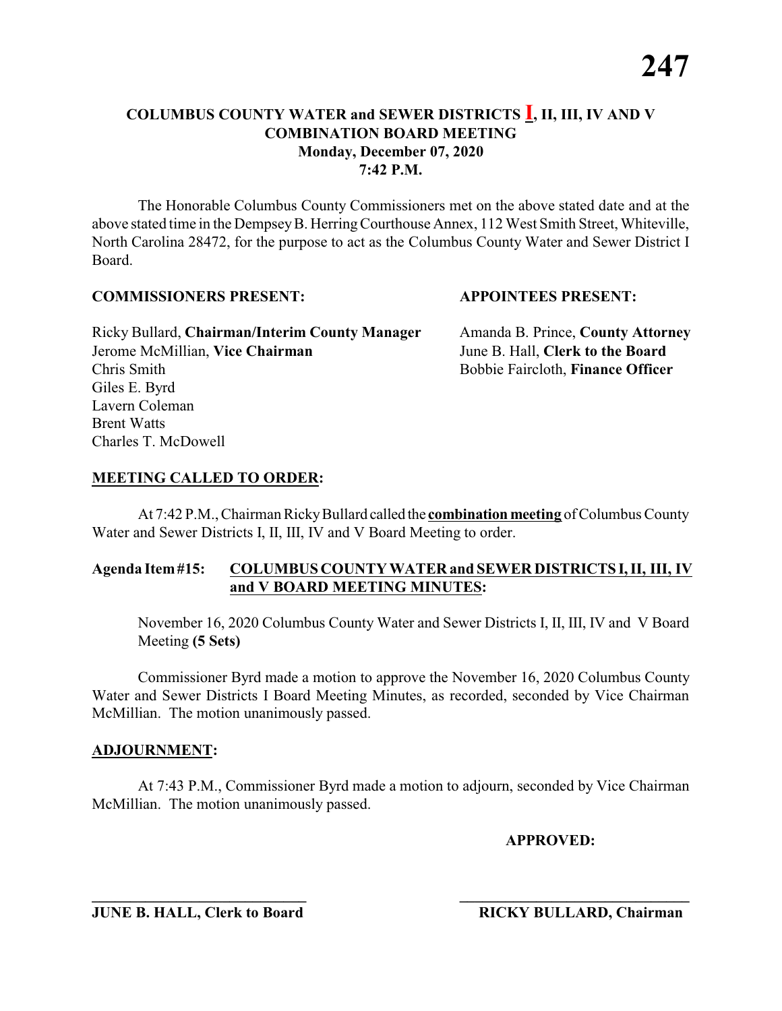The Honorable Columbus County Commissioners met on the above stated date and at the above stated time in the DempseyB. HerringCourthouse Annex, 112 West Smith Street, Whiteville, North Carolina 28472, for the purpose to act as the Columbus County Water and Sewer District I Board.

#### **COMMISSIONERS PRESENT: APPOINTEES PRESENT:**

Ricky Bullard, **Chairman/Interim County Manager** Amanda B. Prince, **County Attorney** Jerome McMillian, **Vice Chairman** June B. Hall, **Clerk to the Board** Chris Smith Bobbie Faircloth, **Finance Officer** Giles E. Byrd Lavern Coleman Brent Watts Charles T. McDowell

## **MEETING CALLED TO ORDER:**

At 7:42 P.M., Chairman RickyBullard called the **combination meeting** of Columbus County Water and Sewer Districts I, II, III, IV and V Board Meeting to order.

# **Agenda Item#15: COLUMBUS COUNTY WATER and SEWER DISTRICTS I, II, III, IV and V BOARD MEETING MINUTES:**

November 16, 2020 Columbus County Water and Sewer Districts I, II, III, IV and V Board Meeting **(5 Sets)**

Commissioner Byrd made a motion to approve the November 16, 2020 Columbus County Water and Sewer Districts I Board Meeting Minutes, as recorded, seconded by Vice Chairman McMillian. The motion unanimously passed.

#### **ADJOURNMENT:**

At 7:43 P.M., Commissioner Byrd made a motion to adjourn, seconded by Vice Chairman McMillian. The motion unanimously passed.

**\_\_\_\_\_\_\_\_\_\_\_\_\_\_\_\_\_\_\_\_\_\_\_\_\_\_\_\_ \_\_\_\_\_\_\_\_\_\_\_\_\_\_\_\_\_\_\_\_\_\_\_\_\_\_\_\_\_\_**

**APPROVED:**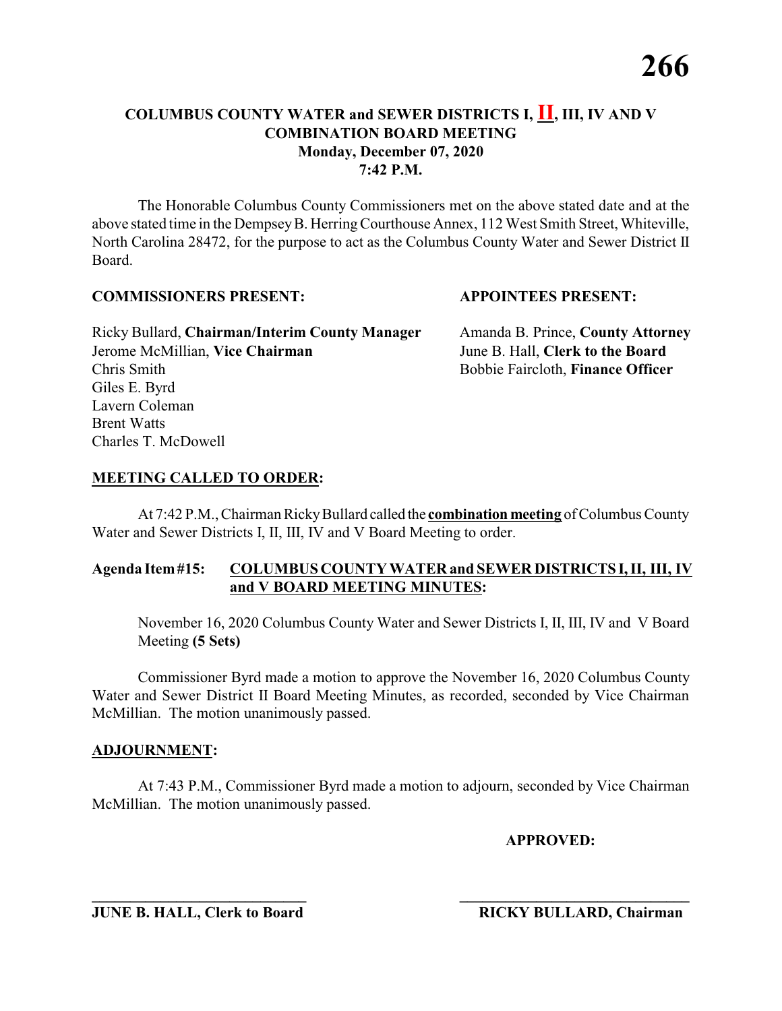The Honorable Columbus County Commissioners met on the above stated date and at the above stated time in the DempseyB. HerringCourthouse Annex, 112 West Smith Street, Whiteville, North Carolina 28472, for the purpose to act as the Columbus County Water and Sewer District II Board.

#### **COMMISSIONERS PRESENT: APPOINTEES PRESENT:**

Ricky Bullard, **Chairman/Interim County Manager** Amanda B. Prince, **County Attorney** Jerome McMillian, **Vice Chairman** June B. Hall, **Clerk to the Board** Chris Smith Bobbie Faircloth, **Finance Officer** Giles E. Byrd Lavern Coleman Brent Watts Charles T. McDowell

# **MEETING CALLED TO ORDER:**

At 7:42 P.M., Chairman RickyBullard called the **combination meeting** of Columbus County Water and Sewer Districts I, II, III, IV and V Board Meeting to order.

# **Agenda Item#15: COLUMBUS COUNTY WATER and SEWER DISTRICTS I, II, III, IV and V BOARD MEETING MINUTES:**

November 16, 2020 Columbus County Water and Sewer Districts I, II, III, IV and V Board Meeting **(5 Sets)**

Commissioner Byrd made a motion to approve the November 16, 2020 Columbus County Water and Sewer District II Board Meeting Minutes, as recorded, seconded by Vice Chairman McMillian. The motion unanimously passed.

## **ADJOURNMENT:**

At 7:43 P.M., Commissioner Byrd made a motion to adjourn, seconded by Vice Chairman McMillian. The motion unanimously passed.

**\_\_\_\_\_\_\_\_\_\_\_\_\_\_\_\_\_\_\_\_\_\_\_\_\_\_\_\_ \_\_\_\_\_\_\_\_\_\_\_\_\_\_\_\_\_\_\_\_\_\_\_\_\_\_\_\_\_\_**

**APPROVED:**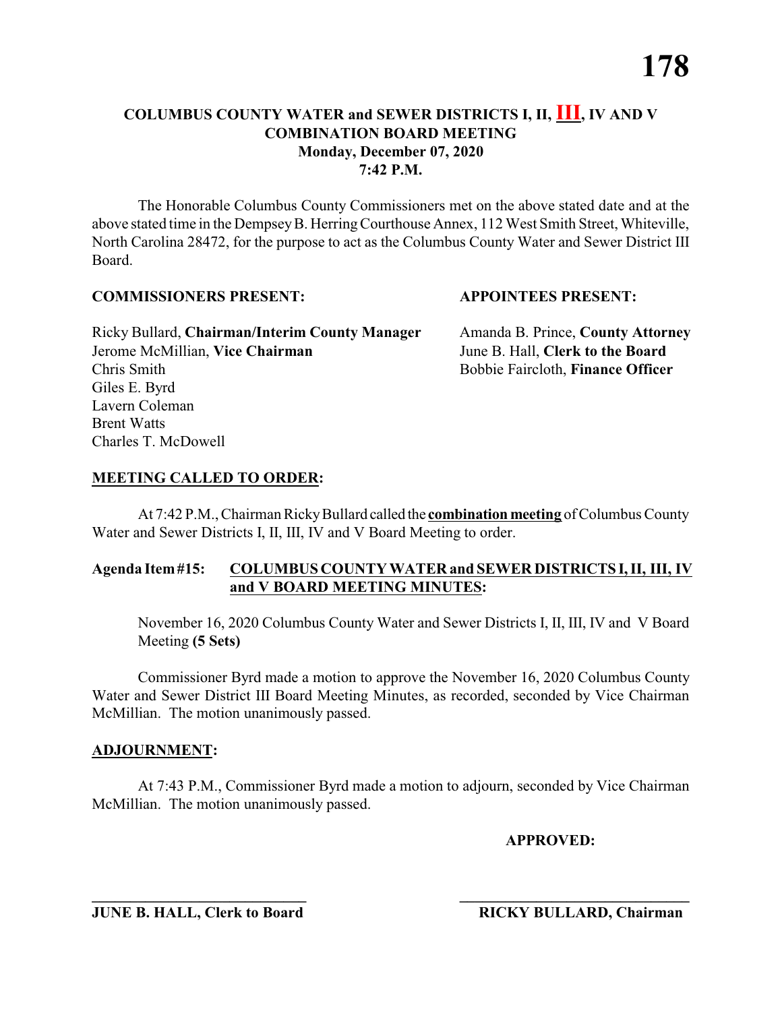The Honorable Columbus County Commissioners met on the above stated date and at the above stated time in the DempseyB. HerringCourthouse Annex, 112 West Smith Street, Whiteville, North Carolina 28472, for the purpose to act as the Columbus County Water and Sewer District III Board.

## **COMMISSIONERS PRESENT: APPOINTEES PRESENT:**

Ricky Bullard, **Chairman/Interim County Manager** Amanda B. Prince, **County Attorney** Jerome McMillian, **Vice Chairman** June B. Hall, **Clerk to the Board** Chris Smith Bobbie Faircloth, **Finance Officer** Giles E. Byrd Lavern Coleman Brent Watts Charles T. McDowell

## **MEETING CALLED TO ORDER:**

At 7:42 P.M., Chairman RickyBullard called the **combination meeting** of Columbus County Water and Sewer Districts I, II, III, IV and V Board Meeting to order.

# **Agenda Item#15: COLUMBUS COUNTY WATER and SEWER DISTRICTS I, II, III, IV and V BOARD MEETING MINUTES:**

November 16, 2020 Columbus County Water and Sewer Districts I, II, III, IV and V Board Meeting **(5 Sets)**

Commissioner Byrd made a motion to approve the November 16, 2020 Columbus County Water and Sewer District III Board Meeting Minutes, as recorded, seconded by Vice Chairman McMillian. The motion unanimously passed.

## **ADJOURNMENT:**

At 7:43 P.M., Commissioner Byrd made a motion to adjourn, seconded by Vice Chairman McMillian. The motion unanimously passed.

**\_\_\_\_\_\_\_\_\_\_\_\_\_\_\_\_\_\_\_\_\_\_\_\_\_\_\_\_ \_\_\_\_\_\_\_\_\_\_\_\_\_\_\_\_\_\_\_\_\_\_\_\_\_\_\_\_\_\_**

**APPROVED:**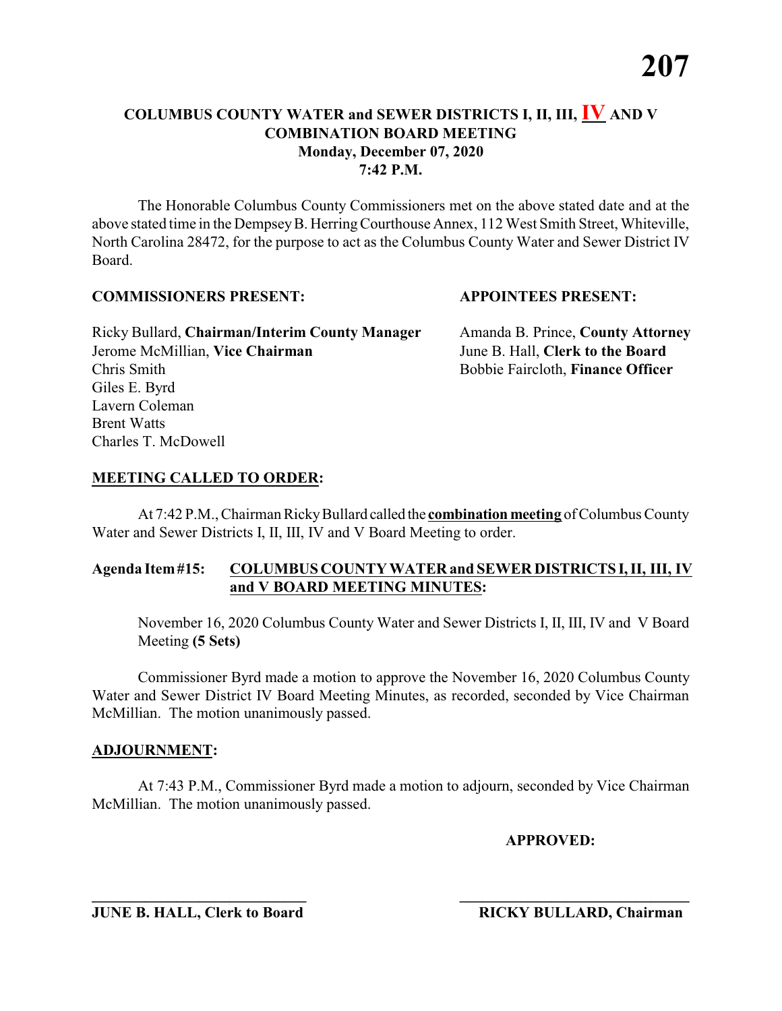The Honorable Columbus County Commissioners met on the above stated date and at the above stated time in the Dempsey B. Herring Courthouse Annex, 112 West Smith Street, Whiteville, North Carolina 28472, for the purpose to act as the Columbus County Water and Sewer District IV Board.

## **COMMISSIONERS PRESENT: APPOINTEES PRESENT:**

Ricky Bullard, **Chairman/Interim County Manager** Amanda B. Prince, **County Attorney** Jerome McMillian, **Vice Chairman** June B. Hall, **Clerk to the Board** Chris Smith Bobbie Faircloth, **Finance Officer** Giles E. Byrd Lavern Coleman Brent Watts Charles T. McDowell

# **MEETING CALLED TO ORDER:**

At 7:42 P.M., Chairman RickyBullard called the **combination meeting** of Columbus County Water and Sewer Districts I, II, III, IV and V Board Meeting to order.

# **Agenda Item#15: COLUMBUS COUNTY WATER and SEWER DISTRICTS I, II, III, IV and V BOARD MEETING MINUTES:**

November 16, 2020 Columbus County Water and Sewer Districts I, II, III, IV and V Board Meeting **(5 Sets)**

Commissioner Byrd made a motion to approve the November 16, 2020 Columbus County Water and Sewer District IV Board Meeting Minutes, as recorded, seconded by Vice Chairman McMillian. The motion unanimously passed.

## **ADJOURNMENT:**

At 7:43 P.M., Commissioner Byrd made a motion to adjourn, seconded by Vice Chairman McMillian. The motion unanimously passed.

**\_\_\_\_\_\_\_\_\_\_\_\_\_\_\_\_\_\_\_\_\_\_\_\_\_\_\_\_ \_\_\_\_\_\_\_\_\_\_\_\_\_\_\_\_\_\_\_\_\_\_\_\_\_\_\_\_\_\_**

**APPROVED:**